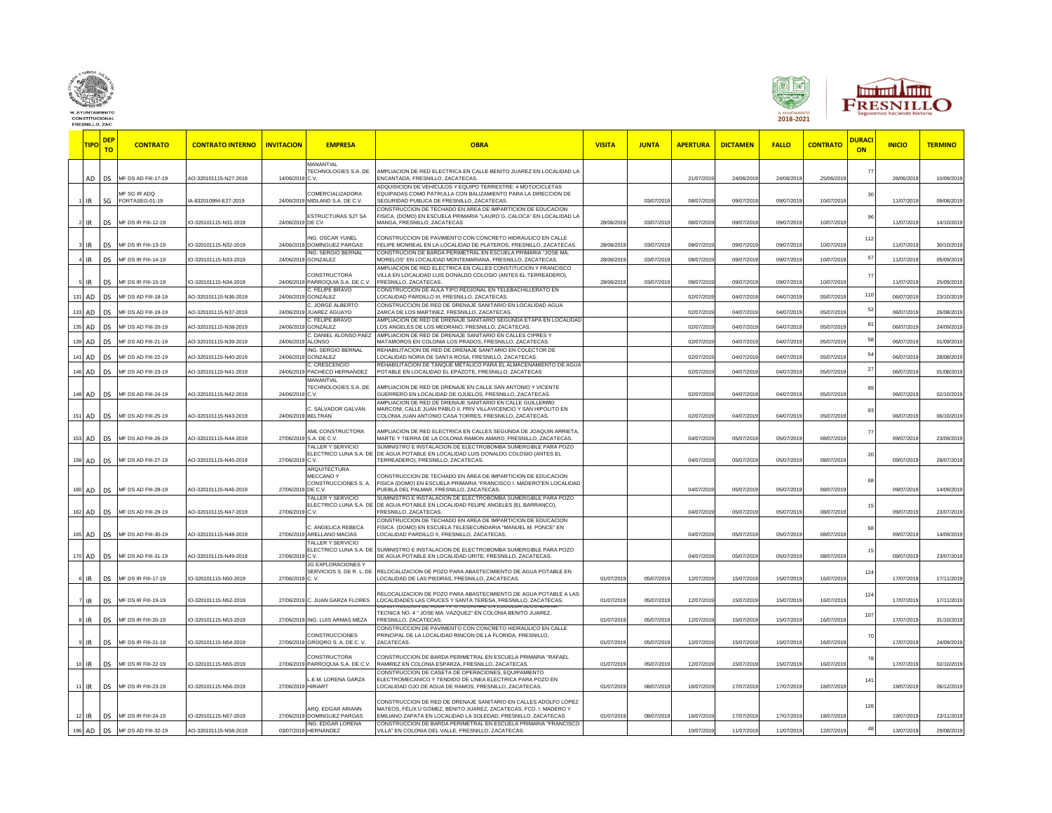

FRESNILLO, ZAC





**TIPO DEP TO CONTRATO CONTRATO INTERNO INVITACION EMPRESA OBRA VISITA JUNTA APERTURA DICTAMEN FALLO CONTRATO DURACI ON INICIO TERMINO** AD DS MF DS AD FIII-17-19 AO-320101115-N27-2019 14/06/2019 **MANANTIAL TECHNOLOGIES S.A. DE** C.V. AMPLIACION DE RED ELECTRICA EN CALLE BENITO JUAREZ EN LOCALIDAD LA ENCANTADA, FRESNILLO, ZACATECAS. 21/07/2019 24/06/2019 24/06/2019 25/06/2019 77 26/06/2019 10/09/2019  $_{\rm SG}$ MF SG IR ADQ FORTASEG-01-19 IA-832010994-E27-2019 24/06/2019 OMERCIALIZADORA MIDLAND S.A. DE C.V. ADQUISICION DE VEHICULOS Y EQUIPO TERRESTRE: 4 MOTOCICLETAS EQUIPADAS COMO PATRULLA CON BALIZAMIENTO PARA LA DIRECCION DE SEGURIDAD PUBLICA DE FRESNILLO, ZACATECAS. 03/07/2019 08/07/2019 09/07/2019 09/07/2019 10/07/2019 30 11/07/2019 09/08/20 2 IR DS MF DS IR FIII-12-19 IO-320101115-N31-2019 24/06/2019 ESTRUCTURAS SJT SA DE CV CONSTRUCCION DE TECHADO EN AREA DE IMPARTICION DE EDUCACION FISICA, (DOMO) EN ESCUELA PRIMARIA "LAURO G. CALOCA" EN LOCALIDAD LA MANGA, FRESNILLO, ZACATECAS 28/06/2019 03/07/2019 08/07/2019 09/07/2019 09/07/2019 10/07/2019 96 11/07/2019 14/10/20 DS MF DS IR FIII-13-19 IO-320101115-N32-2019 24/06/20 **IG. OSCAR YUNEL** OMÍNGUEZ PARGAS CONSTRUCCION DE PAVIMENTO CON CONCRETO HIDRAULICO EN CALLE FELIPE MONREAL EN LA LOCALIDAD DE PLATEROS, FRESNILLO, ZACATECAS. 28/06/2019 03/07/2019 08/07/2019 09/07/2019 09/07/2019 10/07/2019 112 11/07/2019 30/10/20 DS MF DS IR FIII-14-19 IO-320101115-N33-2019 24/06/20 **IG. SERGIO BERNAL** GONZALEZ CONSTRUCION DE BARDA PERIMETRAL EN ESCUELA PRIMARIA "JOSE MA. unsinuuuun De Dhuuri En Localida Dhunana Jude wa.<br>IORELOS EN LOCALIDAD MONTEMARIANA, FRESNILLO, ZACATECAS. 28/06/2019 03/07/2019 08/07/2019 09/07/2019 09/07/2019 10/07/2019 10/07/2019 05/09/201 5 IR DS MF DS IR FIII-15-19 IO-320101115-N34-2019 24/06/2019 **ONSTRUCTORA** PARROQUIA S.A. DE C.V. AMPLIACION DE RED ELECTRICA EN CALLES CONSTITUCION Y FRANCISCO VILLA EN LOCALIDAD LUIS DONALDO COLOSIO (ANTES EL TERREADERO),<br>FRESNILLO, ZACATECAS FRESNILLO, ZACATECAS. 28/06/2019 03/07/2019 08/07/2019 09/07/2019 09/07/2019 10/07/2019 77 11/07/2019 25/09/20 131 AD DS MF DS AD FIII-18-19 AO-320101115-N36-2019 24/06/201 **FELIPE BRAVC** GONZÁLEZ ONSTRUCCION DE AULA TIPO REGIONAL EN TELEBACHILLERATO EN осмотовосно на современно по последнительно следнительно по последните при следните следните следните следните<br>Осмотовременно и пребывно заситесах следните следните и при следните следните от от от от от от от от от от от 133 AD DS MF DS AD FIII-19-19 AO-320101115-N37-2019 24/06/2019 **JORGE ALBERT** JORGE ALBERT CONSTRUCCION DE RED DE DRENAJE SANITARIO EN LOCALIDAD AGUA ZARCA DE LOS MARTINEZ, FRESNILLO, ZACATECAS. 02/07/2019 04/07/2019 04/07/2019 05/07/2019 52 06/07/2019 26/08/2019 135 AD DS MF DS AD FIII-20-19 AO-320101115-N38-2019 24/06/2019 . FELIPE BRAVC GONZÁLEZ MPLIACION DE RED DE DRENAJE SANITARIO SEGUNDA ETAPA EN LOCALIDA LOS ANGELES DE LOS MEDRANO, FRESNILLO, ZACATECAS. 02/07/2019 04/07/2019 04/07/2019 05/07/2019 81 06/07/2019 24/09/2019 139 AD DS MF DS AD FIII-21-19 AO-320101115-N39-2019 24/06/2019 DANIEL ALO LONSO APLIACION DE RED DE DRENAJE SANITARIO EN CALLES CIPRES MATAMOROS EN COLONIA LOS PRADOS, FRESNILLO, ZACATECAS. 02/07/2019 04/07/2019 04/07/2019 05/07/2019 58 06/07/2019 01/09/2019 141 AD DS MF DS AD FIII-22-19 AO-320101115-N40-2019 24/06/2019 **IG. SERGIO BERNAL NZALEZ** REHABILITACION DE RED DE DRENAJE SANITARIO EN COLECTOR DE EM-MENTUNDUR NEUDE UNENNASION INTENSIONALISM DE LA LOCALIDAD DE LA LOCALIDAD DE LA LOCALIDAD DE LA LOCALIDAD D<br>OCALIDAD NORIA DE SANTA ROSA, FRESNILLO, ZACATECAS. OCONTECAS DE LA LOCALIDAD DE LA LOCALIDAD DE LA LOCALIDAD AD DS MF DS AD FIII-23-19 AO-320101115-N41-2019 24/06/20 **CRESCENC ACHECO HERNANDEZ EHABILITACION DE TANQUE METÁLICO PARA EL ALMACENAMIENTO DE AGU** POTABLE EN LOCALIDAD EL EPAZOTE, FRESNILLO, ZACATECAS 02/07/2019 04/07/2019 04/07/2019 05/07/2019 27 06/07/2019 01/08/2019 148 AD DS MF DS AD FIII-24-19 AO-320101115-N42-2019 24/06/2019 MANANTIAL ECHNOLOGIES S.A. DE C.V. AMPLIACION DE RED DE DRENAJE EN CALLE SAN ANTONIO Y VICENTE GUERRERO EN LOCALIDAD DE OJUELOS, FRESNILLO, ZACATECAS. 02/07/2019 04/07/2019 04/07/2019 05/07/2019 89 06/07/2019 02/10/2019 151 AD DS MF DS AD FIII-25-19 AO-320101115-N43-2019 24/06/2019 SALVADOR GALVAN BELTRAN AMPLIACION DE RED DE DRENAJE SANITARIO EN CALLE GUILLERMO MARCONI, CALLE JUAN PABLO II, PRIV VILLAVICENCIO Y SAN HIPOLITO EN COLONIA JUAN ANTONIO CASA TORRES, FRESNILLO, ZACATECAS. 02/07/2019 04/07/2019 04/07/2019 05/07/2019 93 06/07/2019 06/10/20 153 AD DS MF DS AD FIII-26-19 AO-320101115-N44-2019 27/06/2019 AML CONSTRUCTORA S.A. DE C.V. AMPLIACION DE RED ELECTRICA EN CALLES SEGUNDA DE JOAQUIN ARRIETA, MARTE Y TIERRA DE LA COLONIA RAMON AMARO, FRESNILLO, ZACATECAS. O COLONIA DE LA CATIZANIA DE LA COLONIA DE LA COLONIA DAVIZZO.<br>MARTE Y TIERRA DE LA COLONIA RAMON AMARO, FRESNILLO, ZACATECAS. 77 09/07/2019 23/09/20 158 AD DS MF DS AD FIII-27-19 AO-320101115-N45-2019 27/06/2019 ALLER Y SERVICIO ELECTRICO LUNA S.A. DE C.V. STRO E INSTALACION DE ELECTROBOMBA SUMERGIBLE PARA POZ DE AGUA POTABLE EN LOCALIDAD LUIS DONALDO COLOSIO (ANTES EL TERREADERO), FRESNILLO, ZACATECAS. 04/07/2019 05/07/2019 05/07/2019 08/07/2019 20 09/07/2019 28/07/2019 160 AD DS MF DS AD FIII-28-19 AO-320101115-N46-2019 27/06/201 **ARQUITECTURA** MECCANO Y CONSTRUCCIONES S. A. DE C.V. CONSTRUCCION DE TECHADO EN ÁREA DE IMPARTICION DE EDUCACION FISICA (DOMO) EN ESCUELA PRIMARIA "FRANCISCO I. MADERO"EN LOCALIDA PUEBLA DEL PALMAR, FRESNILLO, ZACATECAS. 04/07/2019 05/07/2019 05/07/2019 08/07/2019 68 09/07/2019 14/09/2019 162 AD DS MF DS AD FIII-29-19 AO-320101115-N47-2019 27/06/2019 **ALLER Y SERVICIO** LECTRICO LUNA S.A. DI C.V. SUMINISTRO E INSTALACION DE ELECTROBOMBA SUMERGIBLE PARA POZO DE AGUA POTABLE EN LOCALIDAD FELIPE ANGELES (EL BARRANCO), FRESNILLO, ZACATECAS. 04/07/2019 05/07/2019 05/07/2019 08/07/2019 15 09/07/2019 23/07/2019 165 AD DS MF DS AD FIII-30-19 AO-320101115-N48-2019 27/06/2019 ANGELICA REBECA ARELLANO MACIAS CONSTRUCCION DE TECHADO EN AREA DE IMPARTICION DE EDUCACION FISICA (DOMO) EN ESCUELA TELESECUNDARIA "MANUEL M. PONCE" EN LOCALIDAD PARDILLO II, FRESNILLO, ZACATECAS, 04/07/2019 05/07/2019 05/07/2019 08/07/2019 68 09/07/2019 14/09/2019 AD DS MF DS AD FIII-31-19 AO-320101115-N49-2019 27/06/20 **ALLER Y SERVICIO** LECTRICO LUNA S.A. D C.V. SUMINISTRO E INSTALACION DE ELECTROBOMBA SUMERGIBLE PARA POZO DE AGUA POTABLE EN LOCALIDAD URITE, FRESNILLO, ZACATECAS. 04/07/2019 05/07/2019 05/07/2019 08/07/2019 15 09/07/2019 23/07/2019 6 IR DS MF DS IR FIII-17-19 IO-320101115-N50-2019 27/06/2019 JG EXPLORACIONES Y SERVICIOS S. DE R. L. DE C. V. RELOCALIZACION DE POZO PARA ABASTECIMIENTO DE AGUA POTABLE EN LOCALIDAD DE LAS PIEDRAS, FRESNILLO, ZACATECAS. 01/07/2019 05/07/2019 12/07/2019 15/07/2019 15/07/2019 16/07/2019  $12<sub>4</sub>$ 17/07/2019 17/11/20 7 IR DS MF DS IR FIII-19-19 IO-320101115-N52-2019 27/06/2019 C. JUAN GARZA FLORES RELOCALIZACION DE POZO PARA ABASTECIMIENTO DE AGUA POTABLE A LAS LOCALIDADES LAS CRUCES Y SANTA TERESA, FRESNILLO, ZACATECAS. 01/07/2019 05/07/2019 12/07/2019 15/07/2019 15/07/2019 16/07/2019 124 17/07/2019 17/11/2019 8 IR DS MF DS IR FIII-20-19 IO-320101115-N53-2019 27/06/2019 ING. LUIS ARMAS MEZA CONSTRUCCION DE AULA TIPO REGIONAL EN ESCUELA SECUNDARIA TECNICA NO. 4 " JOSE MA. VAZQUEZ" EN COLONIA BENITO JUAREZ, FRESNILLO, ZACATECAS. 01/07/2019 05/07/2019 12/07/2019 15/07/2019 15/07/2019 16/07/2019 107 17/07/2019 31/10/2019 9 IR DS MF DS IR FIII-21-19 IO-320101115-N54-2019 27/06/2019 **ONSTRUCCIONES** GROQRO S. A. DE C. V. CONSTRUCCION DE PAVIMENTO CON CONCRETO HIDRAULICO EN CALLE PRINCIPAL DE LA LOCALIDAD RINCON DE LA FLORIDA, FRESNILLO<mark>,</mark><br>ZACATECAS. ZACATECAS. 01/07/2019 05/07/2019 12/07/2019 15/07/2019 15/07/2019 16/07/2019 70 17/07/2019 24/09/2019 10 IR DS MF DS IR FIII-22-19 IO-320101115-N55-2019 27/06/2019 CONSTRUCTOR A PARROQUIA S.A. DE C.V. CONSTRUCCION DE BARDA PERIMETRAL EN ESCUELA PRIMARIA "RAFAEL RAMIREZ EN COLONIA ESPARZA, FRESNILLO, ZACATECAS. 01/07/2019 01/07/2019 05/07/2019 12/07/2019 15/07/2019 15/07/2019 16/07/2019 78 17/07/2019 02/10/2019 11 IR DS MF DS IR FIII-23-19 IO-320101115-N56-2019 27/06/2019 L.E.M. LORENA GARZA HIRIART CONSTRUCCION DE CASETA DE OPERACIONES, EQUIPAMIENT ELECTROMECANICO Y TENDIDO DE LINEA ELECTRICA PARA POZO EN LOCALIDAD OJO DE AGUA DE RAMOS, FRESNILLO, ZACATECAS. 01/07/2019 08/07/2019 16/07/2019 17/07/2019 17/07/2019 18/07/2019 141 19/07/2019 06/12/2019 12 IR DS MF DS IR FIII-24-19 IO-320101115-N57-2019 27/06/2019 ARQ. EDGAR ARIANN DOMINGUEZ PARGAS CONSTRUCCION DE RED DE DRENAJE SANITARIO EN CALLES ADOLFO LÓPEZ MATEOS, FÉLIX U GÓMEZ, BENITO JUAREZ, ZACATECAS, FCO, I. MADERO Y EMILIANO ZAPATA EN LOCALIDAD LA SOLEDAD, FRESNILLO, ZACATECAS 01/07/2019 08/07/2019 16/07/2019 17/07/2019 17/07/2019 18/07/2019 128 19/07/2019 23/11/2019 196 AD DS MF DS AD FIII-32-19 AO-320101115-N58-2019 03/07/2019 ING. ÉDGAR LORENA HERNÁNDEZ ONSTRUCCION DE BARDA PERIMETRAL EN ESCUELA PRIMARIA "FRANCIS VILLA" EN COLONIA DEL VALLE, FRESNILLO, ZACATECAS. 10/07/2019 11/07/2019 11/07/2019 12/07/2019 48 13/07/2019 29/08/2019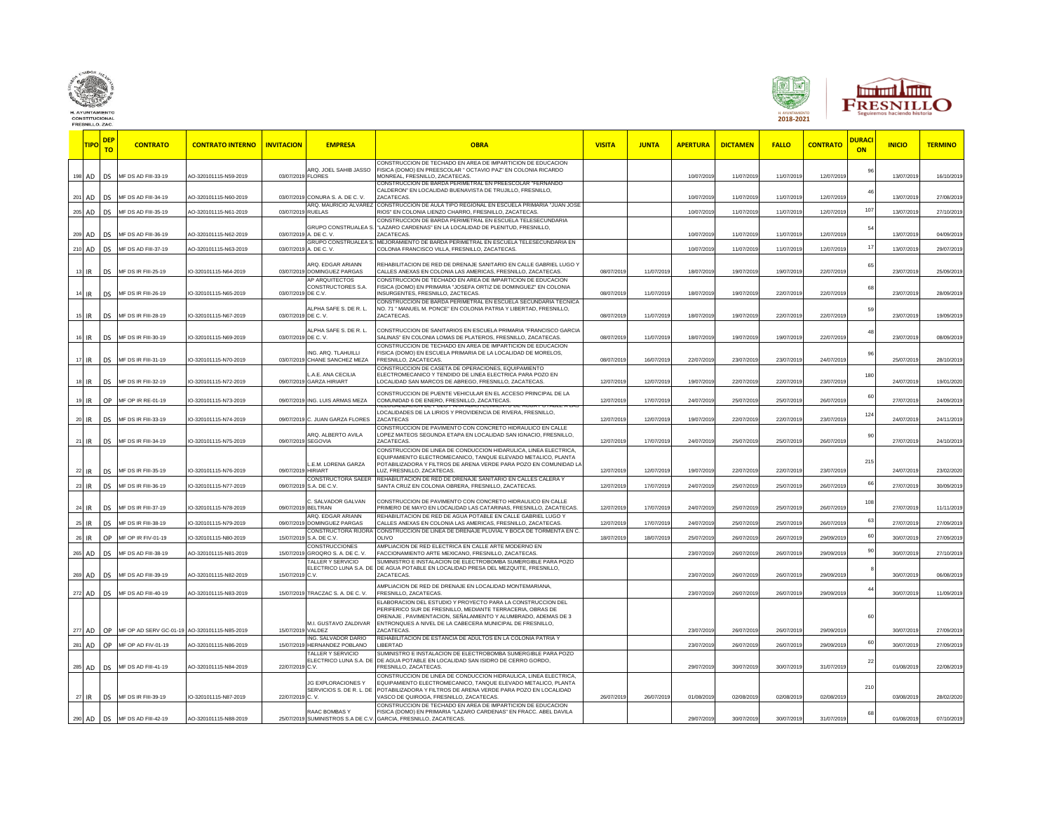





**TIPO DEP TO CONTRATO CONTRATO INTERNO INVITACION EMPRESA OBRA VISITA JUNTA APERTURA DICTAMEN FALLO CONTRATO DURACI ON INICIO TERMINO** AD DS MF DS AD FIII-33-19 AO-320101115-N59-2019 03/07/201 ARQ. JOEL SAHIB JASSO FLORES CONSTRUCCION DE TECHADO EN AREA DE IMPARTICION DE EDUCACION FISICA (DOMO) EN PREESCOLAR " OCTAVIO PAZ" EN COLONIA RICARDO MONREAL, FRESNILLO, ZACATECAS. 10/07/2019 11/07/2019 11/07/2019 12/07/2019 96 13/07/2019 16/10/20 201 AD DS MF DS AD FIII-34-19 AO-320101115-N60-2019 03/07/2019 CONURA S. A. DE C. V. CONSTRUCCION DE BARDA PERIMETRAL EN PREESCOLAR "FERNANDO CALDERON" EN LOCALIDAD BUENAVISTA DE TRUJILLO, FRESNILLO, ZACATECAS. 10/07/2019 11/07/2019 11/07/2019 12/07/2019 46 13/07/2019 27/08/2019 205 AD DS MF DS AD FIII-35-19 AO-320101115-N61-2019 03/07/2019  $\overline{P}$  $\cap$  mauricio RUELAS CONSTRUCCION DE AULA TIPO REGIONAL EN ESCUELA PRIMARIA "JUAN JOSE RIOS" EN COLONIA LIENZO CHARRO, FRESNILLO, ZACATECAS. 10/07/2019 11/07/2019 11/07/2019 12/07/2019 107 13/07/2019 27/10/2019 AD DS MF DS AD FIII-36-19 AO-320101115-N62-2019 03/07/201 RUPO CONSTRUALEA S A. DE C. V. CONSTRUCCION DE BARDA PERIMETRAL EN ESCUELA TELESECUNDARIA 'LAZARO CARDENAS" EN LA LOCALIDAD DE PLENITUD, FRESNILLO,<br>ZACATECAS. ZACATECAS. 10/07/2019 11/07/2019 11/07/2019 12/07/2019 54 13/07/2019 04/09/2019 210 AD DS MF DS AD FIII-37-19 AO-320101115-N63-2019 03/07/2019 **GRUPO CONSTRUALEA S** A. DE C. V. MEJORAMIENTO DE BARDA PERIMETRAL EN ESCUELA TELESECUNDARIA EN лезоризмнен Отон онкрытные не высоковые составляет в составляет развитили простора в составлении составляет пр<br>Социмы в 12/07/2019 12/07/2019 12/07/2019 29/07/2019 11/07/2019 11/07/2019 11/07/2019 12/07/2019 12/07/2019 12 13 IR DS MF DS IR FIII-25-19 IO-320101115-N64-2019 03/07/2019 ARQ. EDGAR ARIANN DOMINGUEZ PARGAS REHABILITACION DE RED DE DRENAJE SANITARIO EN CALLE GABRIEL LUGO Y CALLES ANEXAS EN COLONIA LAS AMERICAS, FRESNILLO, ZACATECAS. 08/07/2019 11/07/2019 18/07/2019 19/07/2019 19/07/2019 22/07/2019 65 23/07/2019 25/09/2019 14 IR DS MF DS IR FIII-26-19 IO-320101115-N65-2019 03/07/2019 AP ARQUITECTOS CONSTRUCTORES S.A. DE C.V. CONSTRUCCION DE TECHADO EN AREA DE IMPARTICION DE EDUCACION FISICA (DOMO) EN PRIMARIA "JOSEFA ORTIZ DE DOMINGUEZ" EN COLONIA INSURGENTES, FRESNILLO, ZACTECAS. 08/07/2019 11/07/2019 18/07/2019 19/07/2019 22/07/2019 22/07/2019 68 23/07/2019 28/09/2019 15 IR DS MF DS IR FIII-28-19 IO-320101115-N67-2019 03/07/2019 LPHA SAFE S. DE R. L. DE C. V. CONSTRUCCION DE BARDA PERIMETRAL EN ESCUELA SECUNDARIA TECNICA NO. 71 " MANUEL M. PONCE" EN COLONIA PATRIA Y LIBERTAD, FRESNILLO, ZACATECAS. 08/07/2019 11/07/2019 18/07/2019 19/07/2019 22/07/2019 22/07/2019 59 23/07/2019 19/09/2019 16 IR DS MF DS IR FIII-30-19 IO-320101115-N69-2019 03/07/2019 LPHA SAFE S. DE R. L. DE C. V. ONSTRUCCION DE SANITARIOS EN ESCUELA PRIMARIA "FRANCISCO GARC SALINAS" EN COLONIA LOMAS DE PLATEROS, FRESNILLO, ZACATECAS. 08/07/2019 11/07/2019 18/07/2019 19/07/2019 19/07/2019 22/07/2019 48 23/07/2019 08/09/2019 17 IR DS MF DS IR FIII-31-19 IO-320101115-N70-2019 03/07/2019 ING. ARQ. TLAHUILLI CHANE SANCHEZ MEZA CONSTRUCCION DE TECHADO EN AREA DE IMPARTICION DE EDUCACION FISICA (DOMO) EN ESCUELA PRIMARIA DE LA LOCALIDAD DE MORELOS, FRESNILLO, ZACATECAS. 08/07/2019 16/07/2019 22/07/2019 23/07/2019 23/07/2019 24/07/2019 96 25/07/2019 28/10/2019 10-320101115-N72-2019 IO-320101115-N72-2019 A.E. ANA CECILIA 09/07/2019 GARZA HIRIART ONSTRUCCION DE CASETA DE OPERACIONES, EQUIPA ELECTROMECANICO Y TENDIDO DE LINEA ELECTRICA PARA POZO EN LOCALIDAD SAN MARCOS DE ABREGO, FRESNILLO, ZACATECAS. 12/07/2019 12/07/2019 19/07/2019 22/07/2019 22/07/2019 23/07/2019 180 24/07/2019 19/01/2020 19 IR OP MF OP IR RE-01-19 IO-320101115-N73-2019 09/07/2019 ING. LUIS ARMAS MEZA CONSTRUCCION DE PUENTE VEHICULAR EN EL ACCESO PRINCIPAL DE LA COMUNIDAD 6 DE ENERO, FRESNILLO, ZACATECAS. 12/07/2019 17/07/2019 24/07/2019 25/07/2019 25/07/2019 26/07/2019 60 27/07/2019 24/09/2019 20 IR DS MF DS IR FIII-33-19 IO-320101115-N74-2019 09/07/2019 C. JUAN GARZA FLORES RELOCALIZACION DE POZO PANA ABASTECIMIENTO DE AGUA POTABLE A LAS<br>LOCALIDADES DE LA LIRIOS Y PROVIDENCIA DE RIVERA, FRESNILLO, ZACATECAS 12/07/2019 12/07/2019 19/07/2019 22/07/2019 22/07/2019 23/07/2019  $12<sub>4</sub>$ 24/07/2019 24/11/2019 21 IR DS MF DS IR FIII-34-19 IO-320101115-N75-2019 09/07/2019 ARQ. ALBERTO AVILA SEGOVIA CONSTRUCCION DE PAVIMENTO CON CONCRETO HIDRAULICO EN CALLE LOPEZ MATEOS SEGUNDA ETAPA EN LOCALIDAD SAN IGNACIO, FRESNILLO, ZACATECAS. 12/07/2019 17/07/2019 24/07/2019 25/07/2019 25/07/2019 26/07/2019 90 27/07/2019 24/10/2019 22 IR DS MF DS IR FIII-35-19 IO-320101115-N76-2019 09/07/2019 L.E.M. LORENA GARZA **IRIART** CONSTRUCCION DE LINEA DE CONDUCCION HIDARULICA, LINEA ELECTRICA, EQUIPAMIENTO ELECTROMECANICO, TANQUE ELEVADO METALICO, PLANTA POTABILIZADORA Y FILTROS DE ARENA VERDE PARA POZO EN COMUNIDAD L LUZ, FRESNILLO, ZACATECAS. 12/07/2019 12/07/2019 19/07/2019 22/07/2019 22/07/2019 23/07/2019 21 24/07/2019 23/02/2020 23 IR DS MF DS IR FIII-36-19 IO-320101115-N77-2019 09/07/2019 CONSTRUCTORA SAEER S.A. DE C.V. REHABILITACION DE RED DE DRENAJE SANITARIO EN CALLES CALERA Y SANTA CRUZ EN COLONIA OBRERA, FRESNILLO, ZACATECAS. 12/07/2019 17/07/2019 24/07/2019 25/07/2019 25/07/2019 26/07/2019 66 27/07/2019 30/09/2019 24 IR DS MF DS IR FIII-37-19 IO-320101115-N78-2019 09/07/2019 . SALVADOR GALVAN BELTRAN CONSTRUCCION DE PAVIMENTO CON CONCRETO HIDRAULICO EN CALLE PRIMERO DE MAYO EN LOCALIDAD LAS CATARINAS, FRESNILLO, ZACATECAS. 12/07/2019 17/07/2019 24/07/2019 25/07/2019 25/07/2019 26/07/2019 10 27/07/2019 11/11/2019 25 IR DS MF DS IR FIII-38-19 IO-320101115-N79-2019 09/07/2019 RO. EDGAR ARIANI **DOMINATION** REHABILITACION DE RED DE AGUA POTABLE EN CALLE GABRIEL LUGO Y CHALLING ON DE RED DE ANEXAS EN COLONIA LAS ANEXAS EN LAS EN LAS EN LAS EN LAS EN LAS EN LAS EN LAS EN LAS EN<br>ALLES ANEXAS EN COLONIA LAS AMERICAS, FRESNILLO, ZACATECAS. (1907/2019) 17/07/2019 24/07/2019 25/07/2019 25/07/2 IR OP MF OP IR FIV-01-19 IO-320101115-N80-2019 15/07/201 ONSTRUCTORA RIJOF A. DE C.V CONSTRUCCION DE LINEA DE DRENAJE PLUVIAL Y BOCA DE TORMENTA EN C.<br>)I IVO OLIVO 18/07/2019 18/07/2019 25/07/2019 26/07/2019 26/07/2019 29/09/2019 60 30/07/2019 27/09/2019 AD DS MF DS AD FIII-38-19 AO-320101115-N81-2019 15/07/20 **NSTRUCCIONES** ROQRO S. A. DE C. V AMPLIACION DE RED ELECTRICA EN CALLE ARTE MODERNO EN FACCIONAMIENTO ARTE MEXICANO, FRESNILLO, ZACATECAS. 23/07/2019 26/07/2019 26/07/2019 29/09/2019 90 30/07/2019 27/10/2019 269 AD DS MF DS AD FIII-39-19 AO-320101115-N82-2019 15/07/2019 ALLER Y SERVICIO ELECTRICO LUNA S.A. DE C.V. SUMINISTRO E INSTALACION DE ELECTROBOMBA SUMERGIBLE PARA POZO DE AGUA POTABLE EN LOCALIDAD PRESA DEL MEZQUITE, FRESNILLO, ZACATECAS. 23/07/2019 26/07/2019 26/07/2019 29/09/2019 8 30/07/2019 06/08/2019 272 AD DS MF DS AD FIII-40-19 AO-320101115-N83-2019 15/07/2019 TRACZAC S. A. DE C. V. AMPLIACION DE RED DE DRENAJE EN LOCALIDAD MONTEMARIANA, FRESNILLO, ZACATECAS. 23/07/2019 26/07/2019 26/07/2019 29/09/2019 44 30/07/2019 11/09/2019 277 AD OP MF OP AD SERV GC-01-19 AO-320101115-N85-2019 15/07/2019 I.I. GUSTAVO ZALDIVAR VALDEZ ELABORACION DEL ESTUDIO Y PROYECTO PARA LA CONSTRUCCION DEL PERIFERICO SUR DE FRESNILLO, MEDIANTE TERRACERIA, OBRAS DE DRENAJE , PAVIMENTACION, SEÑALAMIENTO Y ALUMBRADO, ADEMAS DE 3 ENTRONQUES A NIVEL DE LA CABECERA MUNICIPAL DE FRESNILLO,<br>ZACATECAS ZACATECAS. 23/07/2019 26/07/2019 26/07/2019 29/09/2019 60 30/07/2019 27/09/2019 AD OP MF OP AD FIV-01-19 AO-320101115-N86-2019 15/07/20 ING. SALVADOR DARIO HERNANDEZ POBLANO REHABILITACION DE ESTANCIA DE ADULTOS EN LA COLONIA PATRIA <sup>.</sup><br>LIBERTAD LIBERTAD 23/07/2019 26/07/2019 26/07/2019 29/09/2019 60 30/07/2019 27/09/2019 285 AD DS MF DS AD FIII-41-19 AO-320101115-N84-2019 22/07/2019 TALLER Y SERVICIO ELECTRICO LUNA S.A. DE C.V. SUMINISTRO E INSTALACION DE ELECTROBOMBA SUMERGIBLE PARA POZO DE AGUA POTABLE EN LOCALIDAD SAN ISIDRO DE CERRO GORDO, FRESNILLO, ZACATECAS. 29/07/2019 30/07/2019 30/07/2019 31/07/2019 22 01/08/2019 22/08/2019 27 IR DS MF DS IR FIII-39-19 IO-320101115-N87-2019 22/07/2019 JG EXPLORACIONES Y SERVICIOS S. DE R. L. DE C. V. CONSTRUCCION DE LINEA DE CONDUCCION HIDRAULICA, LINEA ELECTRICA, EQUIPAMIENTO ELECTROMECANICO, TANQUE ELEVADO METALICO, PLANTA POTABILIZADORA Y FILTROS DE ARENA VERDE PARA POZO EN LOCALIDAD VASCO DE QUIROGA, FRESNILLO, ZACATECAS. 26/07/2019 26/07/2019 01/08/2019 02/08/2019 02/08/2019 02/08/2019  $21$ 03/08/2019 28/02/202 AD DS MF DS AD FIII-42-19 AO-320101115-N88-2019 25/07/2019 RAAC BOMBAS Y SUMINISTROS S.A DE C.V. CONSTRUCCION DE TECHADO EN AREA DE IMPARTICION DE EDUCACION FISICA (DOMO) EN PRIMARIA "LAZARO CARDENAS" EN FRACC. ABEL DAVILA GARCIA, FRESNILLO, ZACATECAS. 29/07/2019 30/07/2019 30/07/2019 31/07/2019 68 01/08/2019 07/10/2019

CONSTITUCIONA FRESNILLO, ZAC